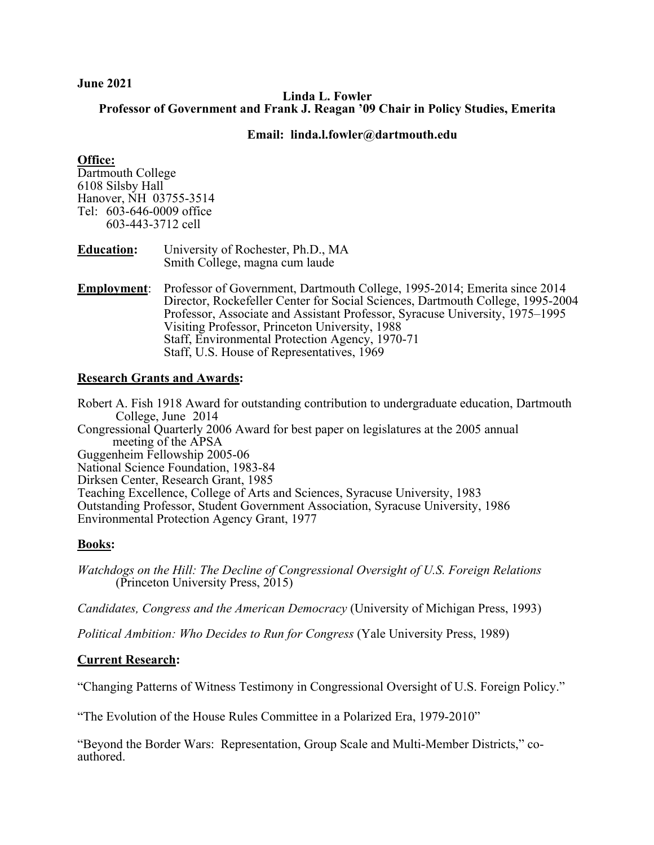#### **June 2021**

### **Linda L. Fowler Professor of Government and Frank J. Reagan '09 Chair in Policy Studies, Emerita**

## **Email: linda.l.fowler@dartmouth.edu**

## **Office:**

Dartmouth College 6108 Silsby Hall Hanover, NH 03755-3514 Tel: 603-646-0009 office 603-443-3712 cell

| <b>Education:</b> | University of Rochester, Ph.D., MA |
|-------------------|------------------------------------|
|                   | Smith College, magna cum laude     |

**Employment**: Professor of Government, Dartmouth College, 1995-2014; Emerita since 2014 Director, Rockefeller Center for Social Sciences, Dartmouth College, 1995-2004 Professor, Associate and Assistant Professor, Syracuse University, 1975–1995 Visiting Professor, Princeton University, 1988 Staff, Environmental Protection Agency, 1970-71 Staff, U.S. House of Representatives, 1969

# **Research Grants and Awards:**

Robert A. Fish 1918 Award for outstanding contribution to undergraduate education, Dartmouth College, June 2014 Congressional Quarterly 2006 Award for best paper on legislatures at the 2005 annual meeting of the APSA Guggenheim Fellowship 2005-06 National Science Foundation, 1983-84 Dirksen Center, Research Grant, 1985 Teaching Excellence, College of Arts and Sciences, Syracuse University, 1983 Outstanding Professor, Student Government Association, Syracuse University, 1986 Environmental Protection Agency Grant, 1977

# **Books:**

*Watchdogs on the Hill: The Decline of Congressional Oversight of U.S. Foreign Relations* (Princeton University Press, 2015)

*Candidates, Congress and the American Democracy* (University of Michigan Press, 1993)

*Political Ambition: Who Decides to Run for Congress* (Yale University Press, 1989)

# **Current Research:**

"Changing Patterns of Witness Testimony in Congressional Oversight of U.S. Foreign Policy."

"The Evolution of the House Rules Committee in a Polarized Era, 1979-2010"

"Beyond the Border Wars: Representation, Group Scale and Multi-Member Districts," coauthored.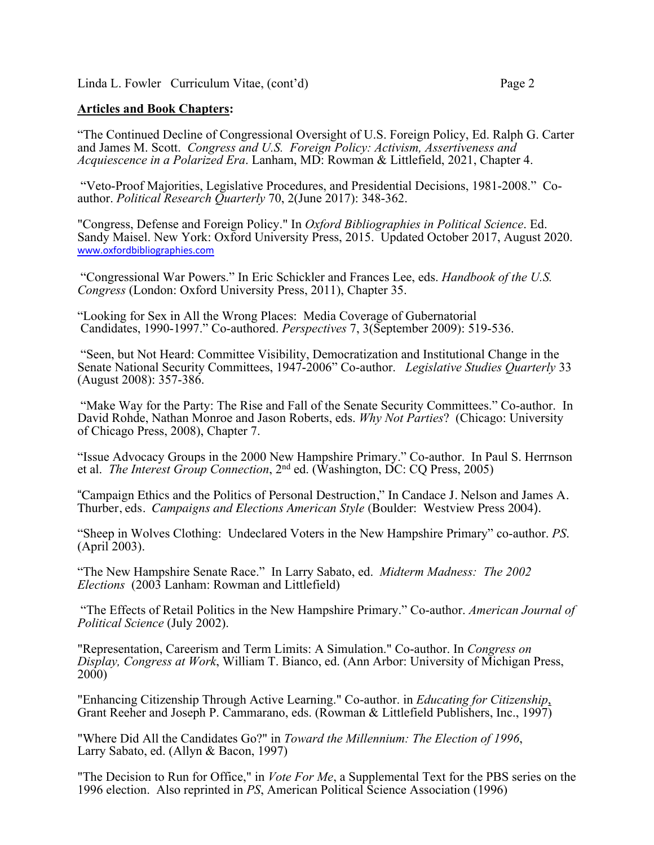# **Articles and Book Chapters:**

"The Continued Decline of Congressional Oversight of U.S. Foreign Policy, Ed. Ralph G. Carter and James M. Scott. *Congress and U.S. Foreign Policy: Activism, Assertiveness and Acquiescence in a Polarized Era*. Lanham, MD: Rowman & Littlefield, 2021, Chapter 4.

"Veto-Proof Majorities, Legislative Procedures, and Presidential Decisions, 1981-2008." Coauthor. *Political Research Quarterly* 70, 2(June 2017): 348-362.

"Congress, Defense and Foreign Policy." In *Oxford Bibliographies in Political Science*. Ed. Sandy Maisel. New York: Oxford University Press, 2015. Updated October 2017, August 2020. www.oxfordbibliographies.com

"Congressional War Powers." In Eric Schickler and Frances Lee, eds. *Handbook of the U.S. Congress* (London: Oxford University Press, 2011), Chapter 35.

"Looking for Sex in All the Wrong Places: Media Coverage of Gubernatorial Candidates, 1990-1997." Co-authored. *Perspectives* 7, 3(September 2009): 519-536.

"Seen, but Not Heard: Committee Visibility, Democratization and Institutional Change in the Senate National Security Committees, 1947-2006" Co-author. *Legislative Studies Quarterly* 33 (August 2008): 357-386.

"Make Way for the Party: The Rise and Fall of the Senate Security Committees." Co-author. In David Rohde, Nathan Monroe and Jason Roberts, eds. *Why Not Parties*? (Chicago: University of Chicago Press, 2008), Chapter 7.

"Issue Advocacy Groups in the 2000 New Hampshire Primary." Co-author. In Paul S. Herrnson et al. *The Interest Group Connection*, 2nd ed. (Washington, DC: CQ Press, 2005)

"Campaign Ethics and the Politics of Personal Destruction," In Candace J. Nelson and James A. Thurber, eds. *Campaigns and Elections American Style* (Boulder: Westview Press 2004).

"Sheep in Wolves Clothing: Undeclared Voters in the New Hampshire Primary" co-author. *PS*. (April 2003).

"The New Hampshire Senate Race." In Larry Sabato, ed. *Midterm Madness: The 2002 Elections* (2003 Lanham: Rowman and Littlefield)

"The Effects of Retail Politics in the New Hampshire Primary." Co-author. *American Journal of Political Science* (July 2002).

"Representation, Careerism and Term Limits: A Simulation." Co-author. In *Congress on Display, Congress at Work*, William T. Bianco, ed. (Ann Arbor: University of Michigan Press,  $2000$ )

"Enhancing Citizenship Through Active Learning." Co-author. in *Educating for Citizenship*, Grant Reeher and Joseph P. Cammarano, eds. (Rowman & Littlefield Publishers, Inc., 1997)

"Where Did All the Candidates Go?" in *Toward the Millennium: The Election of 1996*, Larry Sabato, ed. (Allyn & Bacon, 1997)

"The Decision to Run for Office," in *Vote For Me*, a Supplemental Text for the PBS series on the 1996 election. Also reprinted in *PS*, American Political Science Association (1996)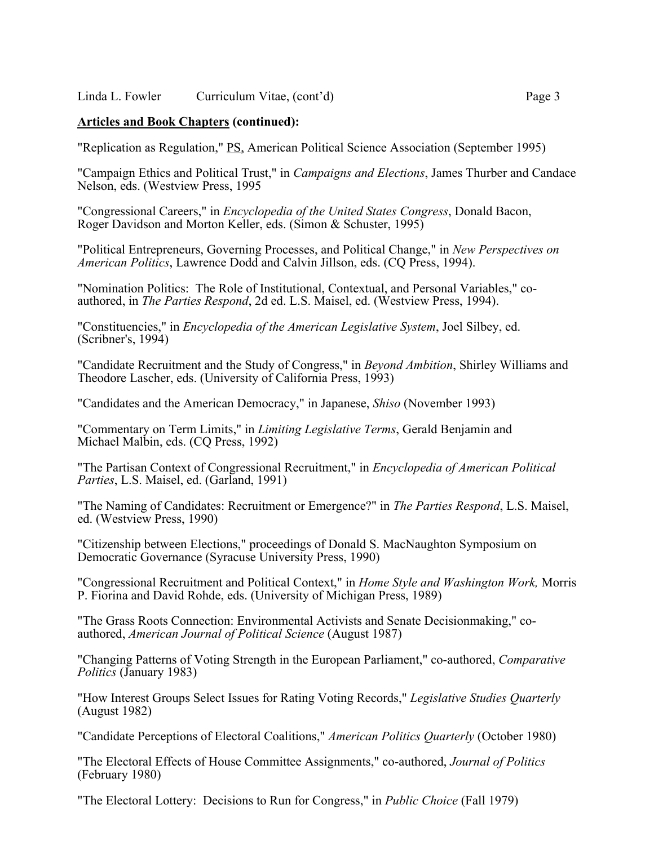Linda L. Fowler Curriculum Vitae, (cont'd) Page 3

### **Articles and Book Chapters (continued):**

"Replication as Regulation," PS, American Political Science Association (September 1995)

"Campaign Ethics and Political Trust," in *Campaigns and Elections*, James Thurber and Candace Nelson, eds. (Westview Press, 1995

"Congressional Careers," in *Encyclopedia of the United States Congress*, Donald Bacon, Roger Davidson and Morton Keller, eds. (Simon & Schuster, 1995)

"Political Entrepreneurs, Governing Processes, and Political Change," in *New Perspectives on American Politics*, Lawrence Dodd and Calvin Jillson, eds. (CQ Press, 1994).

"Nomination Politics: The Role of Institutional, Contextual, and Personal Variables," co- authored, in *The Parties Respond*, 2d ed. L.S. Maisel, ed. (Westview Press, 1994).

"Constituencies," in *Encyclopedia of the American Legislative System*, Joel Silbey, ed. (Scribner's, 1994)

"Candidate Recruitment and the Study of Congress," in *Beyond Ambition*, Shirley Williams and Theodore Lascher, eds. (University of California Press, 1993)

"Candidates and the American Democracy," in Japanese, *Shiso* (November 1993)

"Commentary on Term Limits," in *Limiting Legislative Terms*, Gerald Benjamin and Michael Malbin, eds. (CQ Press, 1992)

"The Partisan Context of Congressional Recruitment," in *Encyclopedia of American Political Parties*, L.S. Maisel, ed. (Garland, 1991)

"The Naming of Candidates: Recruitment or Emergence?" in *The Parties Respond*, L.S. Maisel, ed. (Westview Press, 1990)

"Citizenship between Elections," proceedings of Donald S. MacNaughton Symposium on Democratic Governance (Syracuse University Press, 1990)

"Congressional Recruitment and Political Context," in *Home Style and Washington Work,* Morris P. Fiorina and David Rohde, eds. (University of Michigan Press, 1989)

"The Grass Roots Connection: Environmental Activists and Senate Decisionmaking," coauthored, *American Journal of Political Science* (August 1987)

"Changing Patterns of Voting Strength in the European Parliament," co-authored, *Comparative Politics* (January 1983)

"How Interest Groups Select Issues for Rating Voting Records," *Legislative Studies Quarterly* (August 1982)

"Candidate Perceptions of Electoral Coalitions," *American Politics Quarterly* (October 1980)

"The Electoral Effects of House Committee Assignments," co-authored, *Journal of Politics* (February 1980)

"The Electoral Lottery: Decisions to Run for Congress," in *Public Choice* (Fall 1979)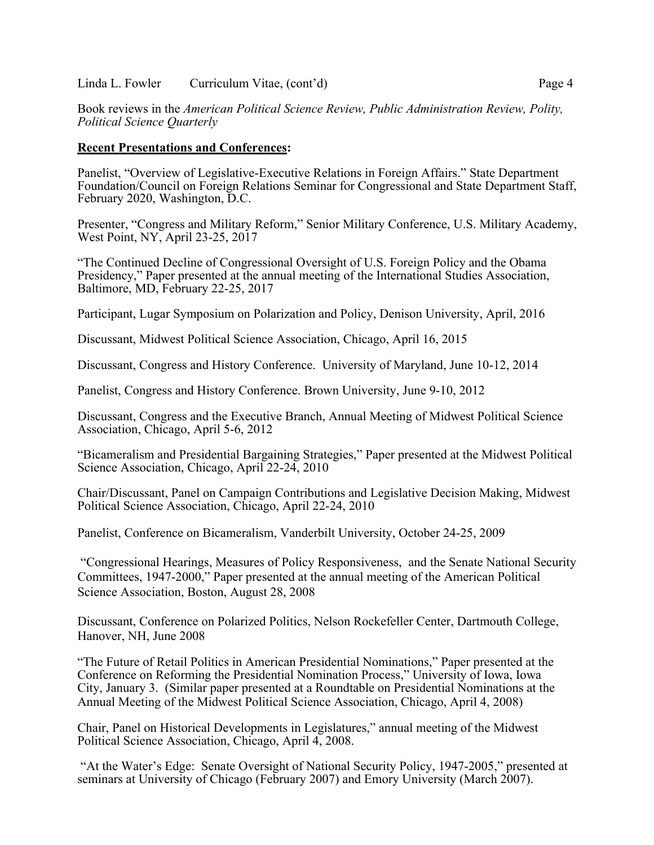#### Linda L. Fowler Curriculum Vitae, (cont'd) Page 4

Book reviews in the *American Political Science Review, Public Administration Review, Polity, Political Science Quarterly*

#### **Recent Presentations and Conferences:**

Panelist, "Overview of Legislative-Executive Relations in Foreign Affairs." State Department Foundation/Council on Foreign Relations Seminar for Congressional and State Department Staff, February 2020, Washington, D.C.

Presenter, "Congress and Military Reform," Senior Military Conference, U.S. Military Academy, West Point, NY, April 23-25, 2017

"The Continued Decline of Congressional Oversight of U.S. Foreign Policy and the Obama Presidency," Paper presented at the annual meeting of the International Studies Association, Baltimore, MD, February 22-25, 2017

Participant, Lugar Symposium on Polarization and Policy, Denison University, April, 2016

Discussant, Midwest Political Science Association, Chicago, April 16, 2015

Discussant, Congress and History Conference. University of Maryland, June 10-12, 2014

Panelist, Congress and History Conference. Brown University, June 9-10, 2012

Discussant, Congress and the Executive Branch, Annual Meeting of Midwest Political Science Association, Chicago, April 5-6, 2012

"Bicameralism and Presidential Bargaining Strategies," Paper presented at the Midwest Political Science Association, Chicago, April 22-24, 2010

Chair/Discussant, Panel on Campaign Contributions and Legislative Decision Making, Midwest Political Science Association, Chicago, April 22-24, 2010

Panelist, Conference on Bicameralism, Vanderbilt University, October 24-25, 2009

"Congressional Hearings, Measures of Policy Responsiveness, and the Senate National Security Committees, 1947-2000," Paper presented at the annual meeting of the American Political Science Association, Boston, August 28, 2008

Discussant, Conference on Polarized Politics, Nelson Rockefeller Center, Dartmouth College, Hanover, NH, June 2008

"The Future of Retail Politics in American Presidential Nominations," Paper presented at the Conference on Reforming the Presidential Nomination Process," University of Iowa, Iowa City, January 3. (Similar paper presented at a Roundtable on Presidential Nominations at the Annual Meeting of the Midwest Political Science Association, Chicago, April 4, 2008)

Chair, Panel on Historical Developments in Legislatures," annual meeting of the Midwest Political Science Association, Chicago, April 4, 2008.

"At the Water's Edge: Senate Oversight of National Security Policy, 1947-2005," presented at seminars at University of Chicago (February 2007) and Emory University (March 2007).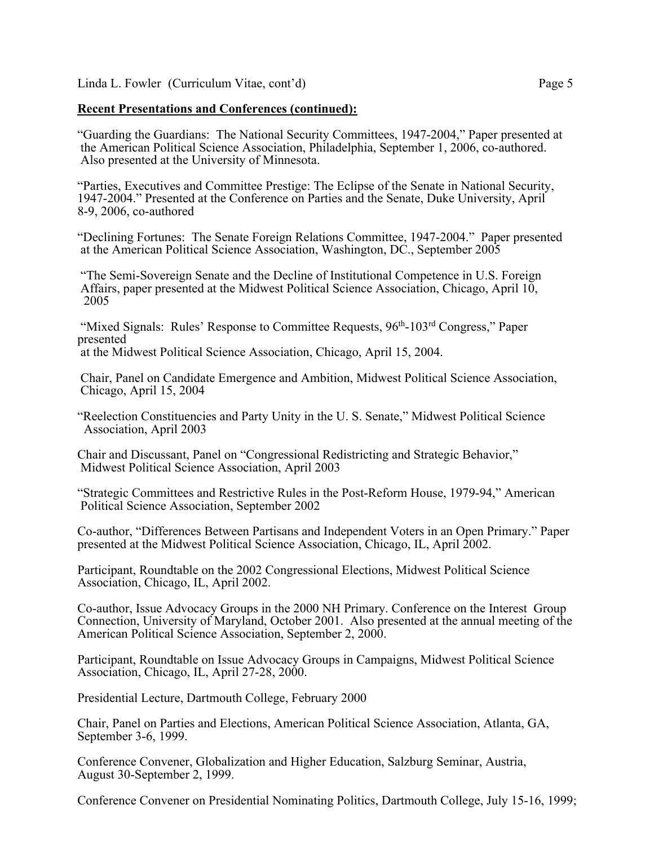# **Recent Presentations and Conferences (continued):**

"Guarding the Guardians: The National Security Committees, 1947-2004," Paper presented at the American Political Science Association, Philadelphia, September 1, 2006, co-authored. Also presented at the University of Minnesota.

"Parties, Executives and Committee Prestige: The Eclipse of the Senate in National Security, 1947-2004." Presented at the Conference on Parties and the Senate, Duke University, April 8-9, 2006, co-authored

"Declining Fortunes: The Senate Foreign Relations Committee, 1947-2004." Paper presented at the American Political Science Association, Washington, DC., September 2005

"The Semi-Sovereign Senate and the Decline of Institutional Competence in U.S. Foreign Affairs, paper presented at the Midwest Political Science Association, Chicago, April 10, 2005

"Mixed Signals: Rules' Response to Committee Requests, 96<sup>th</sup>-103<sup>rd</sup> Congress," Paper presented

at the Midwest Political Science Association, Chicago, April 15, 2004.

Chair, Panel on Candidate Emergence and Ambition, Midwest Political Science Association, Chicago, April 15, 2004

"Reelection Constituencies and Party Unity in the U. S. Senate," Midwest Political Science Association, April 2003

Chair and Discussant, Panel on "Congressional Redistricting and Strategic Behavior," Midwest Political Science Association, April 2003

"Strategic Committees and Restrictive Rules in the Post-Reform House, 1979-94," American Political Science Association, September 2002

Co-author, "Differences Between Partisans and Independent Voters in an Open Primary." Paper presented at the Midwest Political Science Association, Chicago, IL, April 2002.

Participant, Roundtable on the 2002 Congressional Elections, Midwest Political Science Association, Chicago, IL, April 2002.

Co-author, Issue Advocacy Groups in the 2000 NH Primary. Conference on the Interest Group Connection, University of Maryland, October 2001. Also presented at the annual meeting of the American Political Science Association, September 2, 2000.

Participant, Roundtable on Issue Advocacy Groups in Campaigns, Midwest Political Science Association, Chicago, IL, April 27-28, 2000.

Presidential Lecture, Dartmouth College, February 2000

Chair, Panel on Parties and Elections, American Political Science Association, Atlanta, GA, September 3-6, 1999.

Conference Convener, Globalization and Higher Education, Salzburg Seminar, Austria, August 30-September 2, 1999.

Conference Convener on Presidential Nominating Politics, Dartmouth College, July 15-16, 1999;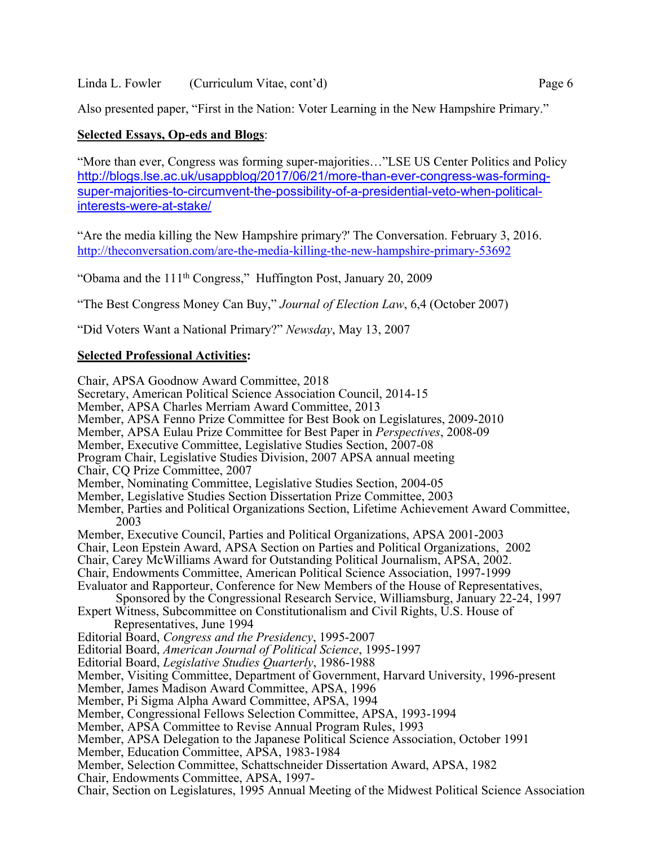# Linda L. Fowler (Curriculum Vitae, cont'd) Page 6

# **Selected Essays, Op-eds and Blogs**:

"More than ever, Congress was forming super-majorities…"LSE US Center Politics and Policy http://blogs.lse.ac.uk/usappblog/2017/06/21/more-than-ever-congress-was-formingsuper-majorities-to-circumvent-the-possibility-of-a-presidential-veto-when-politicalinterests-were-at-stake/

"Are the media killing the New Hampshire primary?' The Conversation. February 3, 2016. http://theconversation.com/are-the-media-killing-the-new-hampshire-primary-53692

"Obama and the 111th Congress," Huffington Post, January 20, 2009

"The Best Congress Money Can Buy," *Journal of Election Law*, 6,4 (October 2007)

"Did Voters Want a National Primary?" *Newsday*, May 13, 2007

# **Selected Professional Activities:**

Chair, APSA Goodnow Award Committee, 2018 Secretary, American Political Science Association Council, 2014-15 Member, APSA Charles Merriam Award Committee, 2013 Member, APSA Fenno Prize Committee for Best Book on Legislatures, 2009-2010 Member, APSA Eulau Prize Committee for Best Paper in *Perspectives*, 2008-09 Member, Executive Committee, Legislative Studies Section, 2007-08 Program Chair, Legislative Studies Division, 2007 APSA annual meeting Chair, CQ Prize Committee, 2007 Member, Nominating Committee, Legislative Studies Section, 2004-05 Member, Legislative Studies Section Dissertation Prize Committee, 2003 Member, Parties and Political Organizations Section, Lifetime Achievement Award Committee, 2003 Member, Executive Council, Parties and Political Organizations, APSA 2001-2003 Chair, Leon Epstein Award, APSA Section on Parties and Political Organizations, 2002 Chair, Carey McWilliams Award for Outstanding Political Journalism, APSA, 2002. Chair, Endowments Committee, American Political Science Association, 1997-1999 Evaluator and Rapporteur, Conference for New Members of the House of Representatives, Sponsored by the Congressional Research Service, Williamsburg, January 22-24, 1997 Expert Witness, Subcommittee on Constitutionalism and Civil Rights, U.S. House of Representatives, June 1994 Editorial Board, *Congress and the Presidency*, 1995-2007 Editorial Board, *American Journal of Political Science*, 1995-1997 Editorial Board, *Legislative Studies Quarterly*, 1986-1988 Member, Visiting Committee, Department of Government, Harvard University, 1996-present Member, James Madison Award Committee, APSA, 1996 Member, Pi Sigma Alpha Award Committee, APSA, 1994 Member, Congressional Fellows Selection Committee, APSA, 1993-1994 Member, APSA Committee to Revise Annual Program Rules, 1993 Member, APSA Delegation to the Japanese Political Science Association, October 1991 Member, Education Committee, APSA, 1983-1984 Member, Selection Committee, Schattschneider Dissertation Award, APSA, 1982 Chair, Endowments Committee, APSA, 1997- Chair, Section on Legislatures, 1995 Annual Meeting of the Midwest Political Science Association